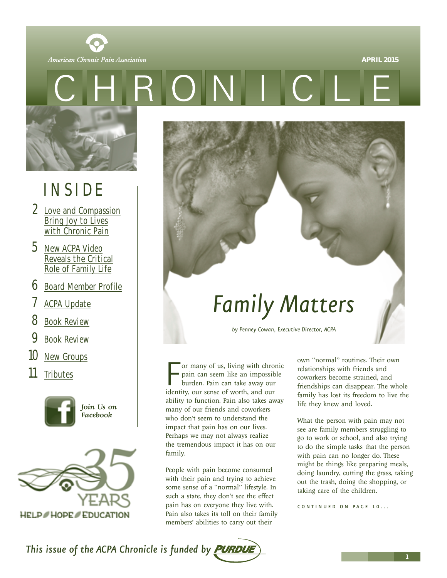

<span id="page-0-0"></span>



## INSIDE

- 2 [Love and Compassion](#page-1-0) Bring Joy to Lives with Chronic Pain
- 5 New ACPA Video [Reveals the Critical](#page-4-0) Role of Family Life
- 6 [Board Member Profile](#page-5-0)
- 7 [ACPA Update](#page-6-0)
- 8 [Book Review](#page-7-0)
- 9 [Book Review](#page-8-0)
- [New Groups](#page-9-0)
- 11 [Tributes](#page-10-0)







*Family Matters*

*by Penney Cowan, Executive Director, ACPA*

or many of us, living with chro<br>pain can seem like an impossik<br>burden. Pain can take away our<br>identity, our sense of worth, and our or many of us, living with chronic pain can seem like an impossible burden. Pain can take away our ability to function. Pain also takes away many of our friends and coworkers who don't seem to understand the impact that pain has on our lives. Perhaps we may not always realize the tremendous impact it has on our family.

People with pain become consumed with their pain and trying to achieve some sense of a "normal" lifestyle. In such a state, they don't see the effect pain has on everyone they live with. Pain also takes its toll on their family members' abilities to carry out their

own "normal" routines. Their own relationships with friends and coworkers become strained, and friendships can disappear. The whole family has lost its freedom to live the life they knew and loved.

What the person with pain may not see are family members struggling to go to work or school, and also trying to do the simple tasks that the person with pain can no longer do. These might be things like preparing meals, doing laundry, cutting the grass, taking out the trash, doing the shopping, or taking care of the children.

[CONTINUED ON PAGE 10...](#page-9-0)

This issue of the ACPA Chronicle is funded by **PURDUE**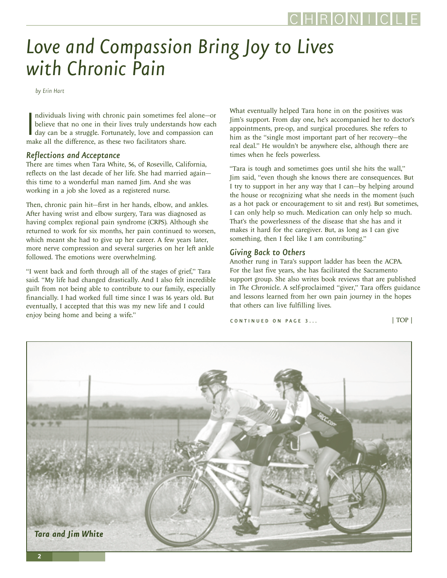### <span id="page-1-0"></span>*Love and Compassion Bring Joy to Lives with Chronic Pain*

*by Erin Hart*

ndividuals living with chronic pain sometimes feel<br>believe that no one in their lives truly understands<br>day can be a struggle. Fortunately, love and compa<br>make all the difference, as these two facilitators share. ndividuals living with chronic pain sometimes feel alone—or believe that no one in their lives truly understands how each day can be a struggle. Fortunately, love and compassion can

#### *Reflections and Acceptance*

There are times when Tara White, 56, of Roseville, California, reflects on the last decade of her life. She had married again this time to a wonderful man named Jim. And she was working in a job she loved as a registered nurse.

Then, chronic pain hit—first in her hands, elbow, and ankles. After having wrist and elbow surgery, Tara was diagnosed as having complex regional pain syndrome (CRPS). Although she returned to work for six months, her pain continued to worsen, which meant she had to give up her career. A few years later, more nerve compression and several surgeries on her left ankle followed. The emotions were overwhelming.

"I went back and forth through all of the stages of grief," Tara said. "My life had changed drastically. And I also felt incredible guilt from not being able to contribute to our family, especially financially. I had worked full time since I was 16 years old. But eventually, I accepted that this was my new life and I could enjoy being home and being a wife."

What eventually helped Tara hone in on the positives was Jim's support. From day one, he's accompanied her to doctor's appointments, pre-op, and surgical procedures. She refers to him as the "single most important part of her recovery—the real deal." He wouldn't be anywhere else, although there are times when he feels powerless.

"Tara is tough and sometimes goes until she hits the wall," Jim said, "even though she knows there are consequences. But I try to support in her any way that I can—by helping around the house or recognizing what she needs in the moment (such as a hot pack or encouragement to sit and rest). But sometimes, I can only help so much. Medication can only help so much. That's the powerlessness of the disease that she has and it makes it hard for the caregiver. But, as long as I can give something, then I feel like I am contributing."

#### *Giving Back to Others*

Another rung in Tara's support ladder has been the ACPA. For the last five years, she has facilitated the Sacramento support group. She also writes book reviews that are published in *The Chronicle*. A self-proclaimed "giver," Tara offers guidance and lessons learned from her own pain journey in the hopes that others can live fulfilling lives.

CONTINUED ON PAGE 3... [| TOP |](#page-0-0)

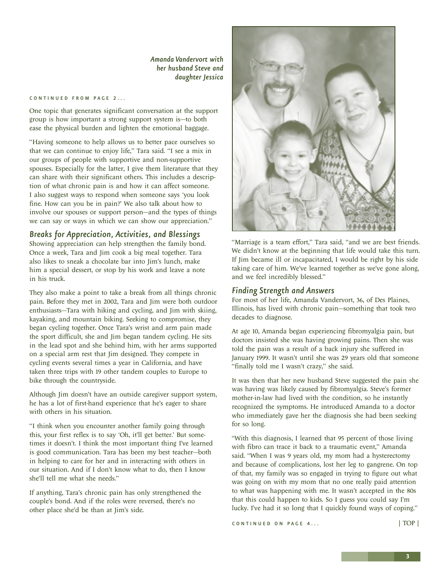*Amanda Vandervort with her husband Steve and daughter Jessica*

#### <span id="page-2-0"></span>CONTINUED FROM PAGE 2...

One topic that generates significant conversation at the support group is how important a strong support system is—to both ease the physical burden and lighten the emotional baggage.

"Having someone to help allows us to better pace ourselves so that we can continue to enjoy life," Tara said. "I see a mix in our groups of people with supportive and non-supportive spouses. Especially for the latter, I give them literature that they can share with their significant others. This includes a description of what chronic pain is and how it can affect someone. I also suggest ways to respond when someone says 'you look fine. How can you be in pain?' We also talk about how to involve our spouses or support person—and the types of things we can say or ways in which we can show our appreciation."

#### *Breaks for Appreciation, Activities, and Blessings*

Showing appreciation can help strengthen the family bond. Once a week, Tara and Jim cook a big meal together. Tara also likes to sneak a chocolate bar into Jim's lunch, make him a special dessert, or stop by his work and leave a note in his truck.

They also make a point to take a break from all things chronic pain. Before they met in 2002, Tara and Jim were both outdoor enthusiasts—Tara with hiking and cycling, and Jim with skiing, kayaking, and mountain biking. Seeking to compromise, they began cycling together. Once Tara's wrist and arm pain made the sport difficult, she and Jim began tandem cycling. He sits in the lead spot and she behind him, with her arms supported on a special arm rest that Jim designed. They compete in cycling events several times a year in California, and have taken three trips with 19 other tandem couples to Europe to bike through the countryside.

Although Jim doesn't have an outside caregiver support system, he has a lot of first-hand experience that he's eager to share with others in his situation.

"I think when you encounter another family going through this, your first reflex is to say 'Oh, it'll get better.' But sometimes it doesn't. I think the most important thing I've learned is good communication. Tara has been my best teacher—both in helping to care for her and in interacting with others in our situation. And if I don't know what to do, then I know she'll tell me what she needs."

If anything, Tara's chronic pain has only strengthened the couple's bond. And if the roles were reversed, there's no other place she'd be than at Jim's side.



"Marriage is a team effort," Tara said, "and we are best friends. We didn't know at the beginning that life would take this turn. If Jim became ill or incapacitated, I would be right by his side taking care of him. We've learned together as we've gone along, and we feel incredibly blessed."

#### *Finding Strength and Answers*

For most of her life, Amanda Vandervort, 36, of Des Plaines, Illinois, has lived with chronic pain—something that took two decades to diagnose.

At age 10, Amanda began experiencing fibromyalgia pain, but doctors insisted she was having growing pains. Then she was told the pain was a result of a back injury she suffered in January 1999. It wasn't until she was 29 years old that someone "finally told me I wasn't crazy," she said.

It was then that her new husband Steve suggested the pain she was having was likely caused by fibromyalgia. Steve's former mother-in-law had lived with the condition, so he instantly recognized the symptoms. He introduced Amanda to a doctor who immediately gave her the diagnosis she had been seeking for so long.

"With this diagnosis, I learned that 95 percent of those living with fibro can trace it back to a traumatic event," Amanda said. "When I was 9 years old, my mom had a hysterectomy and because of complications, lost her leg to gangrene. On top of that, my family was so engaged in trying to figure out what was going on with my mom that no one really paid attention to what was happening with me. It wasn't accepted in the 80s that this could happen to kids. So I guess you could say I'm lucky. I've had it so long that I quickly found ways of coping."

[CONTINUED ON PAGE 4 ...](#page-3-0)

[| TOP |](#page-0-0)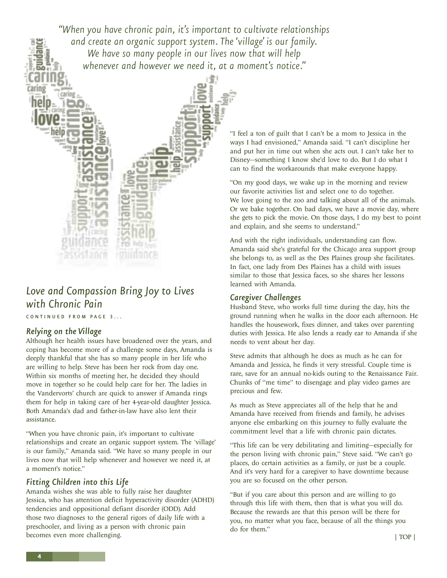<span id="page-3-0"></span>*"When you have chronic pain, it's important to cultivate relationships and create an organic support system. The 'village' is our family. We have so many people in our lives now that will help whenever and however we need it, at a moment's notice."*



### *Love and Compassion Bring Joy to Lives with Chronic Pain*

CONTINUED FROM PAGE 3...

#### *Relying on the Village*

Although her health issues have broadened over the years, and coping has become more of a challenge some days, Amanda is deeply thankful that she has so many people in her life who are willing to help. Steve has been her rock from day one. Within six months of meeting her, he decided they should move in together so he could help care for her. The ladies in the Vandervorts' church are quick to answer if Amanda rings them for help in taking care of her 4-year-old daughter Jessica. Both Amanda's dad and father-in-law have also lent their assistance.

"When you have chronic pain, it's important to cultivate relationships and create an organic support system. The 'village' is our family," Amanda said. "We have so many people in our lives now that will help whenever and however we need it, at a moment's notice."

#### *Fitting Children into this Life*

Amanda wishes she was able to fully raise her daughter Jessica, who has attention deficit hyperactivity disorder (ADHD) tendencies and oppositional defiant disorder (ODD). Add those two diagnoses to the general rigors of daily life with a preschooler, and living as a person with chronic pain becomes even more challenging.

"I feel a ton of guilt that I can't be a mom to Jessica in the ways I had envisioned," Amanda said. "I can't discipline her and put her in time out when she acts out. I can't take her to Disney—something I know she'd love to do. But I do what I can to find the workarounds that make everyone happy.

"On my good days, we wake up in the morning and review our favorite activities list and select one to do together. We love going to the zoo and talking about all of the animals. Or we bake together. On bad days, we have a movie day, where she gets to pick the movie. On those days, I do my best to point and explain, and she seems to understand."

And with the right individuals, understanding can flow. Amanda said she's grateful for the Chicago area support group she belongs to, as well as the Des Plaines group she facilitates. In fact, one lady from Des Plaines has a child with issues similar to those that Jessica faces, so she shares her lessons learned with Amanda.

#### *Caregiver Challenges*

Husband Steve, who works full time during the day, hits the ground running when he walks in the door each afternoon. He handles the housework, fixes dinner, and takes over parenting duties with Jessica. He also lends a ready ear to Amanda if she needs to vent about her day.

Steve admits that although he does as much as he can for Amanda and Jessica, he finds it very stressful. Couple time is rare, save for an annual no-kids outing to the Renaissance Fair. Chunks of "me time" to disengage and play video games are precious and few.

As much as Steve appreciates all of the help that he and Amanda have received from friends and family, he advises anyone else embarking on this journey to fully evaluate the commitment level that a life with chronic pain dictates.

"This life can be very debilitating and limiting—especially for the person living with chronic pain," Steve said. "We can't go places, do certain activities as a family, or just be a couple. And it's very hard for a caregiver to have downtime because you are so focused on the other person.

"But if you care about this person and are willing to go through this life with them, then that is what you will do. Because the rewards are that this person will be there for you, no matter what you face, because of all the things you do for them."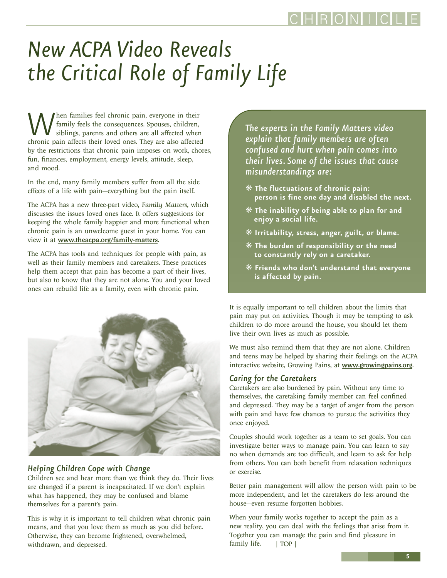## <span id="page-4-0"></span>*New ACPA Video Reveals the Critical Role of Family Life*

When families feel chronic pain, everyone in their<br>family feels the consequences. Spouses, children,<br>chronic pain affects their loved ones. They are also affected family feels the consequences. Spouses, children, siblings, parents and others are all affected when chronic pain affects their loved ones. They are also affected by the restrictions that chronic pain imposes on work, chores, fun, finances, employment, energy levels, attitude, sleep, and mood.

In the end, many family members suffer from all the side effects of a life with pain—everything but the pain itself.

The ACPA has a new three-part video, *Family Matters*, which discusses the issues loved ones face. It offers suggestions for keeping the whole family happier and more functional when chronic pain is an unwelcome guest in your home. You can view it at www.theacpa.org/family-matters.

The ACPA has tools and techniques for people with pain, as well as their family members and caretakers. These practices help them accept that pain has become a part of their lives, but also to know that they are not alone. You and your loved ones can rebuild life as a family, even with chronic pain.



#### *Helping Children Cope with Change*

Children see and hear more than we think they do. Their lives are changed if a parent is incapacitated. If we don't explain what has happened, they may be confused and blame themselves for a parent's pain.

This is why it is important to tell children what chronic pain means, and that you love them as much as you did before. Otherwise, they can become frightened, overwhelmed, withdrawn, and depressed.

*The experts in the Family Matters video explain that family members are often confused and hurt when pain comes into their lives. Some of the issues that cause misunderstandings are:*

- ❋ **The fluctuations of chronic pain: person is fine one day and disabled the next.**
- ❋ **The inability of being able to plan for and enjoy a social life.**
- ❋ **Irritability, stress, anger, guilt, or blame.**
- ❋ **The burden of responsibility or the need to constantly rely on a caretaker.**
- ❋ **Friends who don't understand that everyone is affected by pain.**

It is equally important to tell children about the limits that pain may put on activities. Though it may be tempting to ask children to do more around the house, you should let them live their own lives as much as possible.

We must also remind them that they are not alone. Children and teens may be helped by sharing their feelings on the ACPA interactive website, Growing Pains, at www.growingpains.org.

#### *Caring for the Caretakers*

Caretakers are also burdened by pain. Without any time to themselves, the caretaking family member can feel confined and depressed. They may be a target of anger from the person with pain and have few chances to pursue the activities they once enjoyed.

Couples should work together as a team to set goals. You can investigate better ways to manage pain. You can learn to say no when demands are too difficult, and learn to ask for help from others. You can both benefit from relaxation techniques or exercise.

Better pain management will allow the person with pain to be more independent, and let the caretakers do less around the house—even resume forgotten hobbies.

When your family works together to accept the pain as a new reality, you can deal with the feelings that arise from it. Together you can manage the pain and find pleasure in family life. [| TOP |](#page-0-0)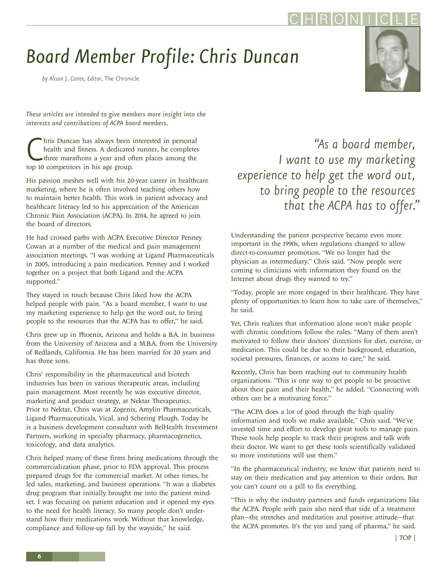## <span id="page-5-0"></span>*Board Member Profile: Chris Duncan*

*by Alison J. Conte, Editor,* The Chronicle

*These articles are intended to give members more insight into the interests and contributions of ACPA board members.*

Inis Duncan has always been<br>
health and fitness. A dedicated<br>
three marathons a year and of<br>
top 10 competitors in his age group. hris Duncan has always been interested in personal health and fitness. A dedicated runner, he completes three marathons a year and often places among the

His passion meshes well with his 20-year career in healthcare marketing, where he is often involved teaching others how to maintain better health. This work in patient advocacy and healthcare literacy led to his appreciation of the American Chronic Pain Association (ACPA). In 2014, he agreed to join the board of directors.

He had crossed paths with ACPA Executive Director Penney Cowan at a number of the medical and pain management association meetings. "I was working at Ligand Pharmaceuticals in 2005, introducing a pain medication. Penney and I worked together on a project that both Ligand and the ACPA supported."

They stayed in touch because Chris liked how the ACPA helped people with pain. "As a board member, I want to use my marketing experience to help get the word out, to bring people to the resources that the ACPA has to offer," he said.

Chris grew up in Phoenix, Arizona and holds a B.A. in business from the University of Arizona and a M.B.A. from the University of Redlands, California. He has been married for 20 years and has three sons.

Chris' responsibility in the pharmaceutical and biotech industries has been in various therapeutic areas, including pain management. Most recently he was executive director, marketing and product strategy, at Nektar Therapeutics. Prior to Nektar, Chris was at Zogenix, Amylin Pharmaceuticals, Ligand Pharmaceuticals, Vical, and Schering Plough. Today he is a business development consultant with BelHealth Investment Partners, working in specialty pharmacy, pharmacogenetics, toxicology, and data analytics.

Chris helped many of these firms bring medications through the commercialization phase, prior to FDA approval. This process prepared drugs for the commercial market. At other times, he led sales, marketing, and business operations. "It was a diabetes drug program that initially brought me into the patient mindset. I was focusing on patient education and it opened my eyes to the need for health literacy. So many people don't understand how their medications work. Without that knowledge, compliance and follow-up fall by the wayside," he said.

*"As a board member, I want to use my marketing experience to help get the word out, to bring people to the resources that the ACPA has to offer."*

Understanding the patient perspective became even more important in the 1990s, when regulations changed to allow direct-to-consumer promotion. "We no longer had the physician as intermediary," Chris said. "Now people were coming to clinicians with information they found on the Internet about drugs they wanted to try."

"Today, people are more engaged in their healthcare. They have plenty of opportunities to learn how to take care of themselves," he said.

Yet, Chris realizes that information alone won't make people with chronic conditions follow the rules. "Many of them aren't motivated to follow their doctors' directions for diet, exercise, or medication. This could be due to their background, education, societal pressures, finances, or access to care," he said.

Recently, Chris has been reaching out to community health organizations. "This is one way to get people to be proactive about their pain and their health," he added. "Connecting with others can be a motivating force."

"The ACPA does a lot of good through the high quality information and tools we make available," Chris said. "We've invested time and effort to develop great tools to manage pain. These tools help people to track their progress and talk with their doctor. We want to get these tools scientifically validated so more institutions will use them."

"In the pharmaceutical industry, we know that patients need to stay on their medication and pay attention to their orders. But you can't count on a pill to fix everything.

"This is why the industry partners and funds organizations like the ACPA. People with pain also need that side of a treatment plan—the stretches and meditation and positive attitude—that the ACPA promotes. It's the yin and yang of pharma," he said.

**6**

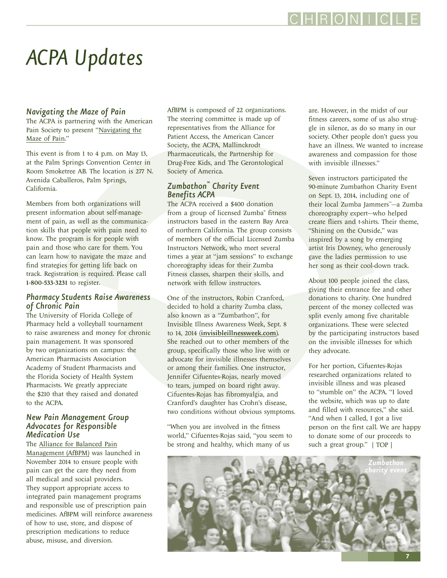# <span id="page-6-0"></span>*Living Well – and Sleeping Well – With Pain ACPA Updates*

#### *Navigating the Maze of Pain*

The ACPA is partnering with the American [Pain Society to present "Navigating the](http://www.theacpa.org/news/navigating-the-maze-of-pain) Maze of Pain."

This event is from 1 to 4 p.m. on May 13, at the Palm Springs Convention Center in Room Smoketree AB. The location is 277 N. Avenida Caballeros, Palm Springs, California.

Members from both organizations will present information about self-management of pain, as well as the communication skills that people with pain need to know. The program is for people with pain and those who care for them. You can learn how to navigate the maze and find strategies for getting life back on track. Registration is required. Please call 1-800-533-3231 to register.

#### *Pharmacy Students Raise Awareness of Chronic Pain*

The University of Florida College of Pharmacy held a volleyball tournament to raise awareness and money for chronic pain management. It was sponsored by two organizations on campus: the American Pharmacists Association Academy of Student Pharmacists and the Florida Society of Health System Pharmacists. We greatly appreciate the \$210 that they raised and donated to the ACPA.

#### *New Pain Management Group Advocates for Responsible Medication Use*

[The Alliance for Balanced Pain](http://www.aapainmanage.org/) Management (AfBPM) was launched in November 2014 to ensure people with pain can get the care they need from all medical and social providers. They support appropriate access to integrated pain management programs and responsible use of prescription pain medicines. AfBPM will reinforce awareness of how to use, store, and dispose of prescription medications to reduce abuse, misuse, and diversion.

AfBPM is composed of 22 organizations. The steering committee is made up of representatives from the Alliance for Patient Access, the American Cancer Society, the ACPA, Mallinckrodt Pharmaceuticals, the Partnership for Drug-Free Kids, and The Gerontological Society of America.

### *Zumbathon™ Charity Event Benefits ACPA*

The ACPA received a \$400 donation from a group of licensed Zumba® fitness instructors based in the eastern Bay Area of northern California. The group consists of members of the official Licensed Zumba Instructors Network, who meet several times a year at "jam sessions" to exchange choreography ideas for their Zumba Fitness classes, sharpen their skills, and network with fellow instructors.

One of the instructors, Robin Cranford, decided to hold a charity Zumba class, also known as a "Zumbathon", for Invisible Illness Awareness Week, Sept. 8 to 14, 2014 ([invisibleillnessweek.com](http://invisibleillnessweek.com/)). She reached out to other members of the group, specifically those who live with or advocate for invisible illnesses themselves or among their families. One instructor, Jennifer Cifuentes-Rojas, nearly moved to tears, jumped on board right away. Cifuentes-Rojas has fibromyalgia, and Cranford's daughter has Crohn's disease, two conditions without obvious symptoms.

"When you are involved in the fitness world," Cifuentes-Rojas said, "you seem to be strong and healthy, which many of us

are. However, in the midst of our fitness careers, some of us also struggle in silence, as do so many in our society. Other people don't guess you have an illness. We wanted to increase awareness and compassion for those with invisible illnesses."

Seven instructors participated the 90-minute Zumbathon Charity Event on Sept. 13, 2014, including one of their local Zumba Jammers™—a Zumba choreography expert—who helped create fliers and t-shirts. Their theme, "Shining on the Outside," was inspired by a song by emerging artist Iris Downey, who generously gave the ladies permission to use her song as their cool-down track.

About 100 people joined the class, giving their entrance fee and other donations to charity. One hundred percent of the money collected was split evenly among five charitable organizations. These were selected by the participating instructors based on the invisible illnesses for which they advocate.

For her portion, Cifuentes-Rojas researched organizations related to invisible illness and was pleased to "stumble on" the ACPA. "I loved the website, which was up to date and filled with resources," she said. "And when I called, I got a live person on the first call. We are happy to donate some of our proceeds to such a great group." [| TOP |](#page-0-0)

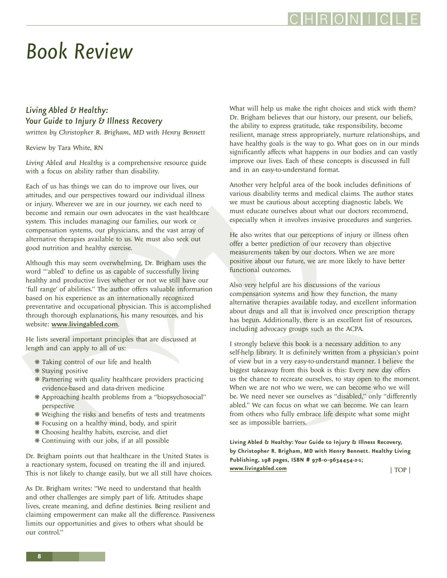## <span id="page-7-0"></span>*Book Review*

#### *Living Abled & Healthy: Your Guide to Injury & Illness Recovery*

*written by Christopher R. Brigham, MD with Henry Bennett*

Review by Tara White, RN

*Living Abled and Healthy* is a comprehensive resource guide with a focus on ability rather than disability.

Each of us has things we can do to improve our lives, our attitudes, and our perspectives toward our individual illness or injury. Wherever we are in our journey, we each need to become and remain our own advocates in the vast healthcare system. This includes managing our families, our work or compensation systems, our physicians, and the vast array of alternative therapies available to us. We must also seek out good nutrition and healthy exercise.

Although this may seem overwhelming, Dr. Brigham uses the word "'abled' to define us as capable of successfully living healthy and productive lives whether or not we still have our 'full range' of abilities." The author offers valuable information based on his experience as an internationally recognized preventative and occupational physician. This is accomplished through thorough explanations, his many resources, and his website: www.livingabled.com.

He lists several important principles that are discussed at length and can apply to all of us:

- ❋ Taking control of our life and health
- ❋ Staying positive
- ❋ Partnering with quality healthcare providers practicing evidence-based and data-driven medicine
- ❋ Approaching health problems from a "biopsychosocial" perspective
- ❋ Weighing the risks and benefits of tests and treatments
- ❋ Focusing on a healthy mind, body, and spirit
- ❋ Choosing healthy habits, exercise, and diet
- ❋ Continuing with our jobs, if at all possible

Dr. Brigham points out that healthcare in the United States is a reactionary system, focused on treating the ill and injured. This is not likely to change easily, but we all still have choices.

As Dr. Brigham writes: "We need to understand that health and other challenges are simply part of life. Attitudes shape lives, create meaning, and define destinies. Being resilient and claiming empowerment can make all the difference. Passiveness limits our opportunities and gives to others what should be our control."

What will help us make the right choices and stick with them? Dr. Brigham believes that our history, our present, our beliefs, the ability to express gratitude, take responsibility, become resilient, manage stress appropriately, nurture relationships, and have healthy goals is the way to go. What goes on in our minds significantly affects what happens in our bodies and can vastly improve our lives. Each of these concepts is discussed in full and in an easy-to-understand format.

Another very helpful area of the book includes definitions of various disability terms and medical claims. The author states we must be cautious about accepting diagnostic labels. We must educate ourselves about what our doctors recommend, especially when it involves invasive procedures and surgeries.

He also writes that our perceptions of injury or illness often offer a better prediction of our recovery than objective measurements taken by our doctors. When we are more positive about our future, we are more likely to have better functional outcomes.

Also very helpful are his discussions of the various compensation systems and how they function, the many alternative therapies available today, and excellent information about drugs and all that is involved once prescription therapy has begun. Additionally, there is an excellent list of resources, including advocacy groups such as the ACPA.

I strongly believe this book is a necessary addition to any self-help library. It is definitely written from a physician's point of view but in a very easy-to-understand manner. I believe the biggest takeaway from this book is this: Every new day offers us the chance to recreate ourselves, to stay open to the moment. When we are not who we were, we can become who we will be. We need never see ourselves as "disabled," only "differently abled." We can focus on what we can become. We can learn from others who fully embrace life despite what some might see as impossible barriers.

**Living Abled & Healthy: Your Guide to Injury & Illness Recovery, by Christopher R. Brigham, MD with Henry Bennett. Healthy Living Publishing, 198 pages, ISBN # 978-0-9634454-2-1; www.livingabled.com** [| TOP |](#page-0-0)

### HRONIC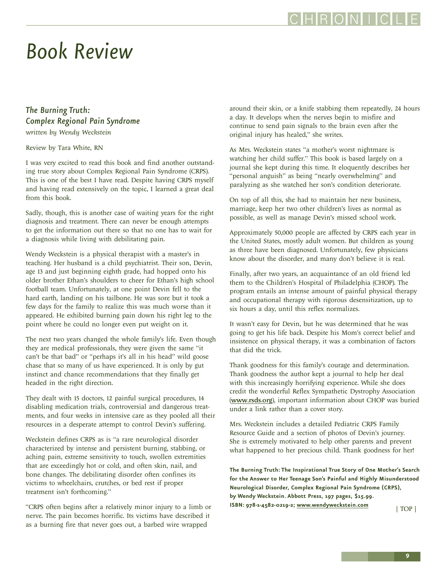### <span id="page-8-0"></span>*Book Review*

#### *The Burning Truth: Complex Regional Pain Syndrome written by Wendy Weckstein*

Review by Tara White, RN

I was very excited to read this book and find another outstanding true story about Complex Regional Pain Syndrome (CRPS). This is one of the best I have read. Despite having CRPS myself and having read extensively on the topic, I learned a great deal from this book.

Sadly, though, this is another case of waiting years for the right diagnosis and treatment. There can never be enough attempts to get the information out there so that no one has to wait for a diagnosis while living with debilitating pain.

Wendy Weckstein is a physical therapist with a master's in teaching. Her husband is a child psychiatrist. Their son, Devin, age 13 and just beginning eighth grade, had hopped onto his older brother Ethan's shoulders to cheer for Ethan's high school football team. Unfortunately, at one point Devin fell to the hard earth, landing on his tailbone. He was sore but it took a few days for the family to realize this was much worse than it appeared. He exhibited burning pain down his right leg to the point where he could no longer even put weight on it.

The next two years changed the whole family's life. Even though they are medical professionals, they were given the same "it can't be that bad" or "perhaps it's all in his head" wild goose chase that so many of us have experienced. It is only by gut instinct and chance recommendations that they finally get headed in the right direction.

They dealt with 15 doctors, 12 painful surgical procedures, 14 disabling medication trials, controversial and dangerous treatments, and four weeks in intensive care as they pooled all their resources in a desperate attempt to control Devin's suffering.

Weckstein defines CRPS as is "a rare neurological disorder characterized by intense and persistent burning, stabbing, or aching pain, extreme sensitivity to touch, swollen extremities that are exceedingly hot or cold, and often skin, nail, and bone changes. The debilitating disorder often confines its victims to wheelchairs, crutches, or bed rest if proper treatment isn't forthcoming."

"CRPS often begins after a relatively minor injury to a limb or nerve. The pain becomes horrific. Its victims have described it as a burning fire that never goes out, a barbed wire wrapped

around their skin, or a knife stabbing them repeatedly, 24 hours a day. It develops when the nerves begin to misfire and continue to send pain signals to the brain even after the original injury has healed," she writes.

As Mrs. Weckstein states "a mother's worst nightmare is watching her child suffer." This book is based largely on a journal she kept during this time. It eloquently describes her "personal anguish" as being "nearly overwhelming" and paralyzing as she watched her son's condition deteriorate.

On top of all this, she had to maintain her new business, marriage, keep her two other children's lives as normal as possible, as well as manage Devin's missed school work.

Approximately 50,000 people are affected by CRPS each year in the United States, mostly adult women. But children as young as three have been diagnosed. Unfortunately, few physicians know about the disorder, and many don't believe it is real.

Finally, after two years, an acquaintance of an old friend led them to the Children's Hospital of Philadelphia (CHOP). The program entails an intense amount of painful physical therapy and occupational therapy with rigorous desensitization, up to six hours a day, until this reflex normalizes.

It wasn't easy for Devin, but he was determined that he was going to get his life back. Despite his Mom's correct belief and insistence on physical therapy, it was a combination of factors that did the trick.

Thank goodness for this family's courage and determination. Thank goodness the author kept a journal to help her deal with this increasingly horrifying experience. While she does credit the wonderful Reflex Sympathetic Dystrophy Association (www.rsds.org), important information about CHOP was buried under a link rather than a cover story.

Mrs. Weckstein includes a detailed Pediatric CRPS Family Resource Guide and a section of photos of Devin's journey. She is extremely motivated to help other parents and prevent what happened to her precious child. Thank goodness for her!

**The Burning Truth: The Inspirational True Story of One Mother's Search for the Answer to Her Teenage Son's Painful and Highly Misunderstood Neurological Disorder, Complex Regional Pain Syndrome (CRPS), by Wendy Weckstein. Abbott Press, 197 pages, \$15.99. ISBN: 978-1-4582-0219-2; www.wendyweckstein.com** [| TOP |](#page-0-0)

### HRONIC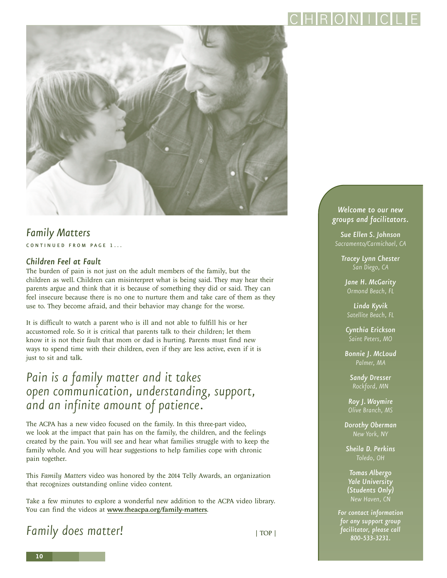<span id="page-9-0"></span>

*Family Matters*  CONTINUED FROM PAGE 1...

#### *Children Feel at Fault*

The burden of pain is not just on the adult members of the family, but the children as well. Children can misinterpret what is being said. They may hear their parents argue and think that it is because of something they did or said. They can feel insecure because there is no one to nurture them and take care of them as they use to. They become afraid, and their behavior may change for the worse.

It is difficult to watch a parent who is ill and not able to fulfill his or her accustomed role. So it is critical that parents talk to their children; let them know it is not their fault that mom or dad is hurting. Parents must find new ways to spend time with their children, even if they are less active, even if it is just to sit and talk.

### *Pain is a family matter and it takes open communication, understanding, support, and an infinite amount of patience.*

The ACPA has a new video focused on the family. In this three-part video, we look at the impact that pain has on the family, the children, and the feelings created by the pain. You will see and hear what families struggle with to keep the family whole. And you will hear suggestions to help families cope with chronic pain together.

This *Family Matters* video was honored by the 2014 Telly Awards, an organization that recognizes outstanding online video content.

Take a few minutes to explore a wonderful new addition to the ACPA video library. You can find the videos at www.theacpa.org/family-matters.

### *Family does matter!*  $|$  TOP |

#### *Welcome to our new groups and facilitators.*

*Sue Ellen S. Johnson Sacramento/Carmichael, CA* 

*Tracey Lynn Chester San Diego, CA*

*Jane H. McGarity Ormond Beach, FL*

*Linda Kyvik Satellite Beach, FL*

*Cynthia Erickson Saint Peters, MO*

*Bonnie J. McLoud Palmer, MA*

*Sandy Dresser Rockford, MN* 

*Roy J. Waymire Olive Branch, MS* 

*Dorothy Oberman New York, NY*

*Sheila D. Perkins Toledo, OH* 

*Tomas Albergo Yale University (Students Only) New Haven, CN*

*For contact information for any support group facilitator, please call 800-533-3231.*